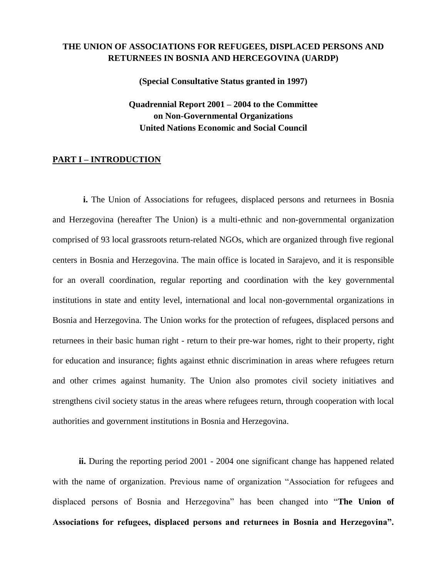# **THE UNION OF ASSOCIATIONS FOR REFUGEES, DISPLACED PERSONS AND RETURNEES IN BOSNIA AND HERCEGOVINA (UARDP)**

**(Special Consultative Status granted in 1997)**

**Quadrennial Report 2001 – 2004 to the Committee on Non-Governmental Organizations United Nations Economic and Social Council**

#### **PART I – INTRODUCTION**

**i.** The Union of Associations for refugees, displaced persons and returnees in Bosnia and Herzegovina (hereafter The Union) is a multi-ethnic and non-governmental organization comprised of 93 local grassroots return-related NGOs, which are organized through five regional centers in Bosnia and Herzegovina. The main office is located in Sarajevo, and it is responsible for an overall coordination, regular reporting and coordination with the key governmental institutions in state and entity level, international and local non-governmental organizations in Bosnia and Herzegovina. The Union works for the protection of refugees, displaced persons and returnees in their basic human right - return to their pre-war homes, right to their property, right for education and insurance; fights against ethnic discrimination in areas where refugees return and other crimes against humanity. The Union also promotes civil society initiatives and strengthens civil society status in the areas where refugees return, through cooperation with local authorities and government institutions in Bosnia and Herzegovina.

ii. During the reporting period 2001 - 2004 one significant change has happened related with the name of organization. Previous name of organization "Association for refugees and displaced persons of Bosnia and Herzegovina" has been changed into "**The Union of Associations for refugees, displaced persons and returnees in Bosnia and Herzegovina".**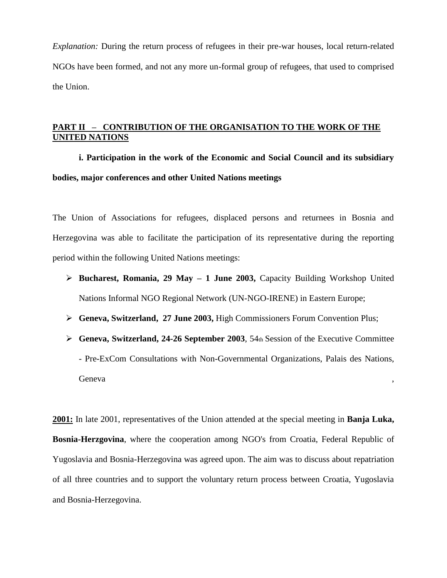*Explanation:* During the return process of refugees in their pre-war houses, local return-related NGOs have been formed, and not any more un-formal group of refugees, that used to comprised the Union.

# **PART II – CONTRIBUTION OF THE ORGANISATION TO THE WORK OF THE UNITED NATIONS**

**i. Participation in the work of the Economic and Social Council and its subsidiary bodies, major conferences and other United Nations meetings** 

The Union of Associations for refugees, displaced persons and returnees in Bosnia and Herzegovina was able to facilitate the participation of its representative during the reporting period within the following United Nations meetings:

- **Bucharest, Romania, 29 May – 1 June 2003,** Capacity Building Workshop United Nations Informal NGO Regional Network (UN-NGO-IRENE) in Eastern Europe;
- **Geneva, Switzerland, 27 June 2003,** High Commissioners Forum Convention Plus;
- **Geneva, Switzerland, 24-26 September 2003**, 54th Session of the Executive Committee - Pre-ExCom Consultations with Non-Governmental Organizations, Palais des Nations, Geneva , the contract of the contract of the contract of the contract of the contract of the contract of the contract of the contract of the contract of the contract of the contract of the contract of the contract of the c

**2001:** In late 2001, representatives of the Union attended at the special meeting in **Banja Luka, Bosnia-Herzgovina**, where the cooperation among NGO's from Croatia, Federal Republic of Yugoslavia and Bosnia-Herzegovina was agreed upon. The aim was to discuss about repatriation of all three countries and to support the voluntary return process between Croatia, Yugoslavia and Bosnia-Herzegovina.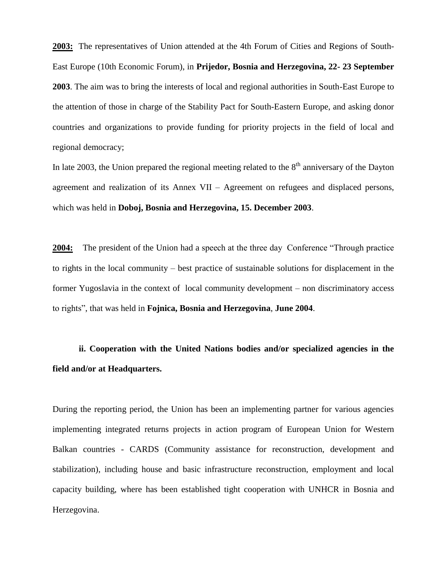**2003:** The representatives of Union attended at the 4th Forum of Cities and Regions of South-East Europe (10th Economic Forum), in **Prijedor, Bosnia and Herzegovina, 22- 23 September 2003**. The aim was to bring the interests of local and regional authorities in South-East Europe to the attention of those in charge of the Stability Pact for South-Eastern Europe, and asking donor countries and organizations to provide funding for priority projects in the field of local and regional democracy;

In late 2003, the Union prepared the regional meeting related to the  $8<sup>th</sup>$  anniversary of the Dayton agreement and realization of its Annex VII – Agreement on refugees and displaced persons, which was held in **Doboj, Bosnia and Herzegovina, 15. December 2003**.

**2004:** The president of the Union had a speech at the three day Conference "Through practice to rights in the local community – best practice of sustainable solutions for displacement in the former Yugoslavia in the context of local community development – non discriminatory access to rights", that was held in **Fojnica, Bosnia and Herzegovina**, **June 2004**.

**ii. Cooperation with the United Nations bodies and/or specialized agencies in the field and/or at Headquarters.** 

During the reporting period, the Union has been an implementing partner for various agencies implementing integrated returns projects in action program of European Union for Western Balkan countries - CARDS (Community assistance for reconstruction, development and stabilization), including house and basic infrastructure reconstruction, employment and local capacity building, where has been established tight cooperation with UNHCR in Bosnia and Herzegovina.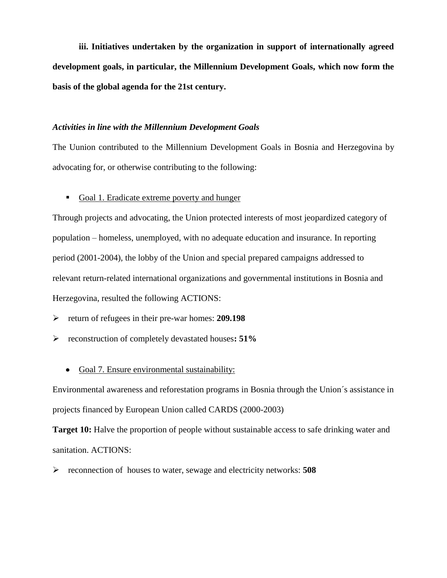**iii. Initiatives undertaken by the organization in support of internationally agreed development goals, in particular, the Millennium Development Goals, which now form the basis of the global agenda for the 21st century.**

#### *Activities in line with the Millennium Development Goals*

The Uunion contributed to the Millennium Development Goals in Bosnia and Herzegovina by advocating for, or otherwise contributing to the following:

Goal 1. Eradicate extreme poverty and hunger

Through projects and advocating, the Union protected interests of most jeopardized category of population – homeless, unemployed, with no adequate education and insurance. In reporting period (2001-2004), the lobby of the Union and special prepared campaigns addressed to relevant return-related international organizations and governmental institutions in Bosnia and Herzegovina, resulted the following ACTIONS:

return of refugees in their pre-war homes: **209.198**

reconstruction of completely devastated houses**: 51%**

### Goal 7. Ensure environmental sustainability:

Environmental awareness and reforestation programs in Bosnia through the Union´s assistance in projects financed by European Union called CARDS (2000-2003)

**Target 10:** Halve the proportion of people without sustainable access to safe drinking water and sanitation. ACTIONS:

reconnection of houses to water, sewage and electricity networks: **508**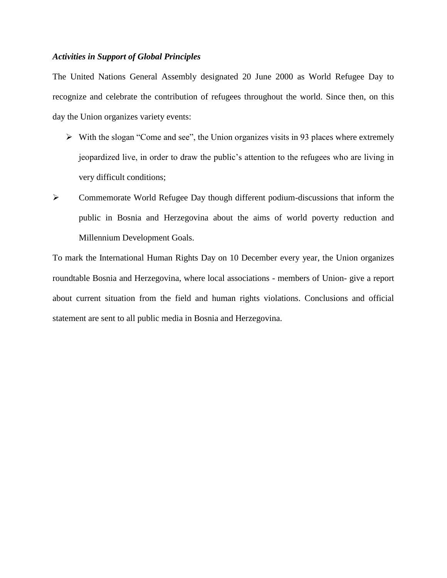### *Activities in Support of Global Principles*

The United Nations General Assembly designated 20 June 2000 as World Refugee Day to recognize and celebrate the contribution of refugees throughout the world. Since then, on this day the Union organizes variety events:

- $\triangleright$  With the slogan "Come and see", the Union organizes visits in 93 places where extremely jeopardized live, in order to draw the public's attention to the refugees who are living in very difficult conditions;
- Commemorate World Refugee Day though different podium-discussions that inform the public in Bosnia and Herzegovina about the aims of world poverty reduction and Millennium Development Goals.

To mark the International Human Rights Day on 10 December every year, the Union organizes roundtable Bosnia and Herzegovina, where local associations - members of Union- give a report about current situation from the field and human rights violations. Conclusions and official statement are sent to all public media in Bosnia and Herzegovina.